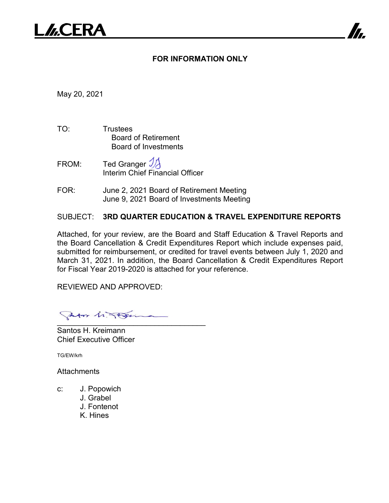# **FOR INFORMATION ONLY**

May 20, 2021

- TO: Trustees Board of Retirement Board of Investments
- FROM: Ted Granger  $\mathcal{Y}$ Interim Chief Financial Officer
- FOR: June 2, 2021 Board of Retirement Meeting June 9, 2021 Board of Investments Meeting

# SUBJECT: **3RD QUARTER EDUCATION & TRAVEL EXPENDITURE REPORTS**

Attached, for your review, are the Board and Staff Education & Travel Reports and the Board Cancellation & Credit Expenditures Report which include expenses paid, submitted for reimbursement, or credited for travel events between July 1, 2020 and March 31, 2021. In addition, the Board Cancellation & Credit Expenditures Report for Fiscal Year 2019-2020 is attached for your reference.

REVIEWED AND APPROVED:

Sator in Their  $\bullet$  . The contract of the contract of the contract of the contract of the contract of the contract of the contract of the contract of the contract of the contract of the contract of the contract of the contract of the co

Santos H. Kreimann Chief Executive Officer

TG/EW/krh

**Attachments** 

c: J. Popowich J. Grabel J. Fontenot K. Hines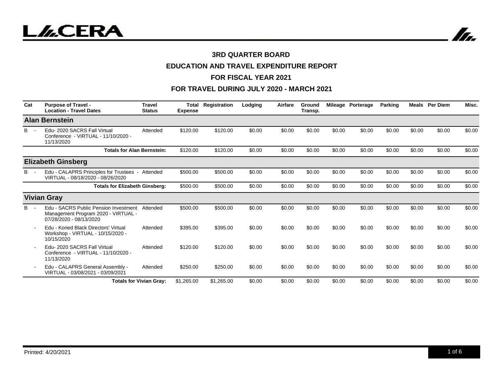

# **EDUCATION AND TRAVEL EXPENDITURE REPORT**

#### **FOR FISCAL YEAR 2021**

| Cat   | <b>Purpose of Travel -</b><br><b>Location - Travel Dates</b>                                            | <b>Travel</b><br><b>Status</b> | <b>Total</b><br><b>Expense</b> | Registration | Lodging | Airfare | Ground<br>Transp. |        | Mileage Porterage | Parking | Meals  | <b>Per Diem</b> | Misc.  |
|-------|---------------------------------------------------------------------------------------------------------|--------------------------------|--------------------------------|--------------|---------|---------|-------------------|--------|-------------------|---------|--------|-----------------|--------|
|       | <b>Alan Bernstein</b>                                                                                   |                                |                                |              |         |         |                   |        |                   |         |        |                 |        |
| B     | Edu-2020 SACRS Fall Virtual<br>Conference - VIRTUAL - 11/10/2020 -<br>11/13/2020                        | Attended                       | \$120.00                       | \$120.00     | \$0.00  | \$0.00  | \$0.00            | \$0.00 | \$0.00            | \$0.00  | \$0.00 | \$0.00          | \$0.00 |
|       | <b>Totals for Alan Bernstein:</b>                                                                       |                                | \$120.00                       | \$120.00     | \$0.00  | \$0.00  | \$0.00            | \$0.00 | \$0.00            | \$0.00  | \$0.00 | \$0.00          | \$0.00 |
|       | <b>Elizabeth Ginsberg</b>                                                                               |                                |                                |              |         |         |                   |        |                   |         |        |                 |        |
| B.    | Edu - CALAPRS Principles for Trustees -<br>VIRTUAL - 08/18/2020 - 08/26/2020                            | Attended                       | \$500.00                       | \$500.00     | \$0.00  | \$0.00  | \$0.00            | \$0.00 | \$0.00            | \$0.00  | \$0.00 | \$0.00          | \$0.00 |
|       | <b>Totals for Elizabeth Ginsberg:</b>                                                                   |                                | \$500.00                       | \$500.00     | \$0.00  | \$0.00  | \$0.00            | \$0.00 | \$0.00            | \$0.00  | \$0.00 | \$0.00          | \$0.00 |
|       | <b>Vivian Gray</b>                                                                                      |                                |                                |              |         |         |                   |        |                   |         |        |                 |        |
| $B -$ | Edu - SACRS Public Pension Investment<br>Management Program 2020 - VIRTUAL -<br>07/28/2020 - 08/13/2020 | Attended                       | \$500.00                       | \$500.00     | \$0.00  | \$0.00  | \$0.00            | \$0.00 | \$0.00            | \$0.00  | \$0.00 | \$0.00          | \$0.00 |
|       | Edu - Koried Black Directors' Virtual<br>Workshop - VIRTUAL - 10/15/2020 -<br>10/15/2020                | Attended                       | \$395.00                       | \$395.00     | \$0.00  | \$0.00  | \$0.00            | \$0.00 | \$0.00            | \$0.00  | \$0.00 | \$0.00          | \$0.00 |
|       | Edu-2020 SACRS Fall Virtual<br>Conference - VIRTUAL - 11/10/2020 -<br>11/13/2020                        | Attended                       | \$120.00                       | \$120.00     | \$0.00  | \$0.00  | \$0.00            | \$0.00 | \$0.00            | \$0.00  | \$0.00 | \$0.00          | \$0.00 |
|       | Edu - CALAPRS General Assembly -<br>VIRTUAL - 03/08/2021 - 03/09/2021                                   | Attended                       | \$250.00                       | \$250.00     | \$0.00  | \$0.00  | \$0.00            | \$0.00 | \$0.00            | \$0.00  | \$0.00 | \$0.00          | \$0.00 |
|       |                                                                                                         | <b>Totals for Vivian Gray:</b> | \$1,265.00                     | \$1,265.00   | \$0.00  | \$0.00  | \$0.00            | \$0.00 | \$0.00            | \$0.00  | \$0.00 | \$0.00          | \$0.00 |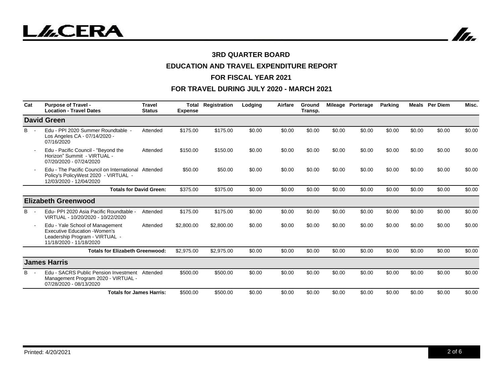In.

### **3RD QUARTER BOARD**

# **EDUCATION AND TRAVEL EXPENDITURE REPORT**

#### **FOR FISCAL YEAR 2021**

| Cat   | <b>Purpose of Travel -</b><br><b>Location - Travel Dates</b>                                                                         | <b>Travel</b><br><b>Status</b> | Total<br><b>Expense</b> | Registration | Lodging | Airfare | Ground<br>Transp. |        | Mileage Porterage | Parking |        | <b>Meals</b> Per Diem | Misc.  |
|-------|--------------------------------------------------------------------------------------------------------------------------------------|--------------------------------|-------------------------|--------------|---------|---------|-------------------|--------|-------------------|---------|--------|-----------------------|--------|
|       | <b>David Green</b>                                                                                                                   |                                |                         |              |         |         |                   |        |                   |         |        |                       |        |
| B     | Edu - PPI 2020 Summer Roundtable -<br>Los Angeles CA - 07/14/2020 -<br>07/16/2020                                                    | Attended                       | \$175.00                | \$175.00     | \$0.00  | \$0.00  | \$0.00            | \$0.00 | \$0.00            | \$0.00  | \$0.00 | \$0.00                | \$0.00 |
|       | Edu - Pacific Council - "Bevond the<br>Horizon" Summit - VIRTUAL -<br>07/20/2020 - 07/24/2020                                        | Attended                       | \$150.00                | \$150.00     | \$0.00  | \$0.00  | \$0.00            | \$0.00 | \$0.00            | \$0.00  | \$0.00 | \$0.00                | \$0.00 |
|       | Edu - The Pacific Council on International Attended<br>Policy's PolicyWest 2020 - VIRTUAL -<br>12/03/2020 - 12/04/2020               |                                | \$50.00                 | \$50.00      | \$0.00  | \$0.00  | \$0.00            | \$0.00 | \$0.00            | \$0.00  | \$0.00 | \$0.00                | \$0.00 |
|       |                                                                                                                                      | <b>Totals for David Green:</b> | \$375.00                | \$375.00     | \$0.00  | \$0.00  | \$0.00            | \$0.00 | \$0.00            | \$0.00  | \$0.00 | \$0.00                | \$0.00 |
|       | <b>Elizabeth Greenwood</b>                                                                                                           |                                |                         |              |         |         |                   |        |                   |         |        |                       |        |
| в     | Edu- PPI 2020 Asia Pacific Roundtable -<br>VIRTUAL - 10/20/2020 - 10/22/2020                                                         | Attended                       | \$175.00                | \$175.00     | \$0.00  | \$0.00  | \$0.00            | \$0.00 | \$0.00            | \$0.00  | \$0.00 | \$0.00                | \$0.00 |
|       | Edu - Yale School of Management<br><b>Executive Education - Women's</b><br>Leadership Program - VIRTUAL -<br>11/18/2020 - 11/18/2020 | Attended                       | \$2,800.00              | \$2,800.00   | \$0.00  | \$0.00  | \$0.00            | \$0.00 | \$0.00            | \$0.00  | \$0.00 | \$0.00                | \$0.00 |
|       | <b>Totals for Elizabeth Greenwood:</b>                                                                                               |                                | \$2,975.00              | \$2,975.00   | \$0.00  | \$0.00  | \$0.00            | \$0.00 | \$0.00            | \$0.00  | \$0.00 | \$0.00                | \$0.00 |
|       | <b>James Harris</b>                                                                                                                  |                                |                         |              |         |         |                   |        |                   |         |        |                       |        |
| $B -$ | Edu - SACRS Public Pension Investment<br>Management Program 2020 - VIRTUAL -<br>07/28/2020 - 08/13/2020                              | Attended                       | \$500.00                | \$500.00     | \$0.00  | \$0.00  | \$0.00            | \$0.00 | \$0.00            | \$0.00  | \$0.00 | \$0.00                | \$0.00 |
|       | <b>Totals for James Harris:</b>                                                                                                      |                                | \$500.00                | \$500.00     | \$0.00  | \$0.00  | \$0.00            | \$0.00 | \$0.00            | \$0.00  | \$0.00 | \$0.00                | \$0.00 |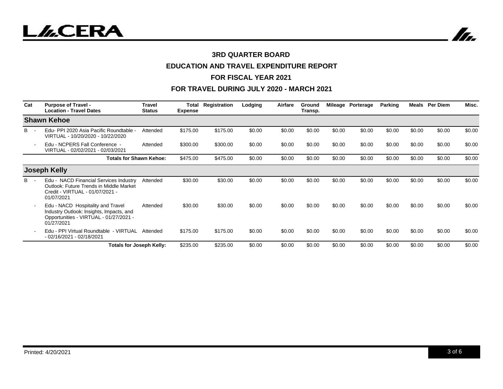

# **EDUCATION AND TRAVEL EXPENDITURE REPORT**

#### **FOR FISCAL YEAR 2021**

| Cat | <b>Purpose of Travel -</b><br><b>Location - Travel Dates</b>                                                                          | <b>Travel</b><br><b>Status</b> | <b>Expense</b> | <b>Total Registration</b> | Lodging | Airfare | Ground<br>Transp. |        | Mileage Porterage | Parking | Meals  | <b>Per Diem</b> | Misc.  |
|-----|---------------------------------------------------------------------------------------------------------------------------------------|--------------------------------|----------------|---------------------------|---------|---------|-------------------|--------|-------------------|---------|--------|-----------------|--------|
|     | <b>Shawn Kehoe</b>                                                                                                                    |                                |                |                           |         |         |                   |        |                   |         |        |                 |        |
| B - | Edu- PPI 2020 Asia Pacific Roundtable -<br>VIRTUAL - 10/20/2020 - 10/22/2020                                                          | Attended                       | \$175.00       | \$175.00                  | \$0.00  | \$0.00  | \$0.00            | \$0.00 | \$0.00            | \$0.00  | \$0.00 | \$0.00          | \$0.00 |
|     | Edu - NCPERS Fall Conference -<br>VIRTUAL - 02/02/2021 - 02/03/2021                                                                   | Attended                       | \$300.00       | \$300.00                  | \$0.00  | \$0.00  | \$0.00            | \$0.00 | \$0.00            | \$0.00  | \$0.00 | \$0.00          | \$0.00 |
|     | <b>Totals for Shawn Kehoe:</b>                                                                                                        |                                | \$475.00       | \$475.00                  | \$0.00  | \$0.00  | \$0.00            | \$0.00 | \$0.00            | \$0.00  | \$0.00 | \$0.00          | \$0.00 |
|     | <b>Joseph Kelly</b>                                                                                                                   |                                |                |                           |         |         |                   |        |                   |         |        |                 |        |
| в.  | Edu - NACD Financial Services Industry<br>Outlook: Future Trends in Middle Market<br>Credit - VIRTUAL - 01/07/2021 -<br>01/07/2021    | Attended                       | \$30.00        | \$30.00                   | \$0.00  | \$0.00  | \$0.00            | \$0.00 | \$0.00            | \$0.00  | \$0.00 | \$0.00          | \$0.00 |
|     | Edu - NACD Hospitality and Travel<br>Industry Outlook: Insights, Impacts, and<br>Opportunities - VIRTUAL - 01/27/2021 -<br>01/27/2021 | Attended                       | \$30.00        | \$30.00                   | \$0.00  | \$0.00  | \$0.00            | \$0.00 | \$0.00            | \$0.00  | \$0.00 | \$0.00          | \$0.00 |
|     | Edu - PPI Virtual Roundtable - VIRTUAL<br>- 02/16/2021 - 02/18/2021                                                                   | Attended                       | \$175.00       | \$175.00                  | \$0.00  | \$0.00  | \$0.00            | \$0.00 | \$0.00            | \$0.00  | \$0.00 | \$0.00          | \$0.00 |
|     |                                                                                                                                       | Totals for Joseph Kelly:       | \$235.00       | \$235.00                  | \$0.00  | \$0.00  | \$0.00            | \$0.00 | \$0.00            | \$0.00  | \$0.00 | \$0.00          | \$0.00 |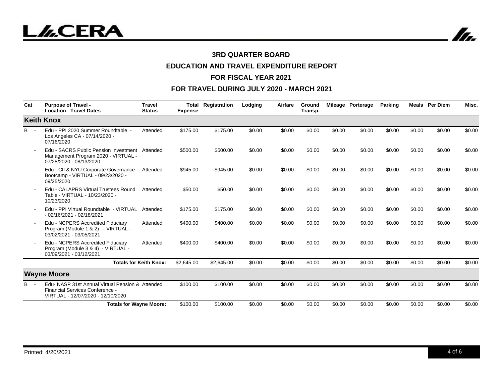In.

### **3RD QUARTER BOARD**

# **EDUCATION AND TRAVEL EXPENDITURE REPORT**

#### **FOR FISCAL YEAR 2021**

| Cat   | <b>Purpose of Travel -</b><br><b>Location - Travel Dates</b>                                                            | <b>Travel</b><br><b>Status</b> | <b>Expense</b> | <b>Total Registration</b> | Lodging | Airfare | Ground<br>Transp. |        | Mileage Porterage | Parking |        | <b>Meals</b> Per Diem | Misc.  |
|-------|-------------------------------------------------------------------------------------------------------------------------|--------------------------------|----------------|---------------------------|---------|---------|-------------------|--------|-------------------|---------|--------|-----------------------|--------|
|       | <b>Keith Knox</b>                                                                                                       |                                |                |                           |         |         |                   |        |                   |         |        |                       |        |
| $B -$ | Edu - PPI 2020 Summer Roundtable -<br>Los Angeles CA - 07/14/2020 -<br>07/16/2020                                       | Attended                       | \$175.00       | \$175.00                  | \$0.00  | \$0.00  | \$0.00            | \$0.00 | \$0.00            | \$0.00  | \$0.00 | \$0.00                | \$0.00 |
|       | Edu - SACRS Public Pension Investment<br>Management Program 2020 - VIRTUAL -<br>07/28/2020 - 08/13/2020                 | Attended                       | \$500.00       | \$500.00                  | \$0.00  | \$0.00  | \$0.00            | \$0.00 | \$0.00            | \$0.00  | \$0.00 | \$0.00                | \$0.00 |
|       | Edu - CII & NYU Corporate Governance<br>Bootcamp - VIRTUAL - 09/23/2020 -<br>09/25/2020                                 | Attended                       | \$945.00       | \$945.00                  | \$0.00  | \$0.00  | \$0.00            | \$0.00 | \$0.00            | \$0.00  | \$0.00 | \$0.00                | \$0.00 |
|       | Edu - CALAPRS Virtual Trustees Round<br>Table - VIRTUAL - 10/23/2020 -<br>10/23/2020                                    | Attended                       | \$50.00        | \$50.00                   | \$0.00  | \$0.00  | \$0.00            | \$0.00 | \$0.00            | \$0.00  | \$0.00 | \$0.00                | \$0.00 |
|       | Edu - PPI Virtual Roundtable - VIRTUAL<br>- 02/16/2021 - 02/18/2021                                                     | Attended                       | \$175.00       | \$175.00                  | \$0.00  | \$0.00  | \$0.00            | \$0.00 | \$0.00            | \$0.00  | \$0.00 | \$0.00                | \$0.00 |
|       | Edu - NCPERS Accredited Fiduciary<br>Program (Module 1 & 2) - VIRTUAL -<br>03/02/2021 - 03/05/2021                      | Attended                       | \$400.00       | \$400.00                  | \$0.00  | \$0.00  | \$0.00            | \$0.00 | \$0.00            | \$0.00  | \$0.00 | \$0.00                | \$0.00 |
|       | Edu - NCPERS Accredited Fiduciary<br>Program (Module 3 & 4) - VIRTUAL -<br>03/09/2021 - 03/12/2021                      | Attended                       | \$400.00       | \$400.00                  | \$0.00  | \$0.00  | \$0.00            | \$0.00 | \$0.00            | \$0.00  | \$0.00 | \$0.00                | \$0.00 |
|       |                                                                                                                         | <b>Totals for Keith Knox:</b>  | \$2,645.00     | \$2,645.00                | \$0.00  | \$0.00  | \$0.00            | \$0.00 | \$0.00            | \$0.00  | \$0.00 | \$0.00                | \$0.00 |
|       | <b>Wayne Moore</b>                                                                                                      |                                |                |                           |         |         |                   |        |                   |         |        |                       |        |
| $B -$ | Edu-NASP 31st Annual Virtual Pension & Attended<br>Financial Services Conference -<br>VIRTUAL - 12/07/2020 - 12/10/2020 |                                | \$100.00       | \$100.00                  | \$0.00  | \$0.00  | \$0.00            | \$0.00 | \$0.00            | \$0.00  | \$0.00 | \$0.00                | \$0.00 |
|       | <b>Totals for Wayne Moore:</b>                                                                                          |                                | \$100.00       | \$100.00                  | \$0.00  | \$0.00  | \$0.00            | \$0.00 | \$0.00            | \$0.00  | \$0.00 | \$0.00                | \$0.00 |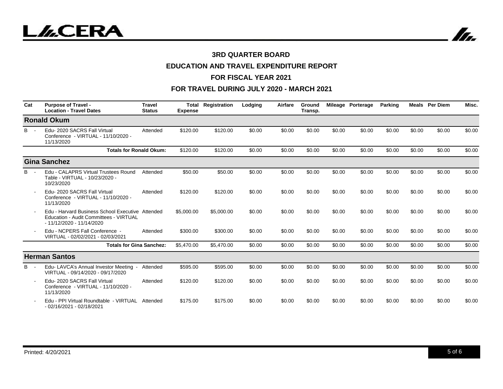

# **EDUCATION AND TRAVEL EXPENDITURE REPORT**

#### **FOR FISCAL YEAR 2021**

| Cat        | <b>Purpose of Travel -</b><br><b>Location - Travel Dates</b>                                                             | <b>Travel</b><br><b>Status</b> | Total<br><b>Expense</b> | Registration | Lodging | Airfare | Ground<br>Transp. |        | Mileage Porterage | <b>Parking</b> |        | <b>Meals</b> Per Diem | Misc.  |
|------------|--------------------------------------------------------------------------------------------------------------------------|--------------------------------|-------------------------|--------------|---------|---------|-------------------|--------|-------------------|----------------|--------|-----------------------|--------|
|            | <b>Ronald Okum</b>                                                                                                       |                                |                         |              |         |         |                   |        |                   |                |        |                       |        |
| B.         | Edu- 2020 SACRS Fall Virtual<br>Conference - VIRTUAL - 11/10/2020 -<br>11/13/2020                                        | Attended                       | \$120.00                | \$120.00     | \$0.00  | \$0.00  | \$0.00            | \$0.00 | \$0.00            | \$0.00         | \$0.00 | \$0.00                | \$0.00 |
|            | <b>Totals for Ronald Okum:</b>                                                                                           |                                | \$120.00                | \$120.00     | \$0.00  | \$0.00  | \$0.00            | \$0.00 | \$0.00            | \$0.00         | \$0.00 | \$0.00                | \$0.00 |
|            | <b>Gina Sanchez</b>                                                                                                      |                                |                         |              |         |         |                   |        |                   |                |        |                       |        |
| <b>B</b> - | Edu - CALAPRS Virtual Trustees Round<br>Table - VIRTUAL - 10/23/2020 -<br>10/23/2020                                     | Attended                       | \$50.00                 | \$50.00      | \$0.00  | \$0.00  | \$0.00            | \$0.00 | \$0.00            | \$0.00         | \$0.00 | \$0.00                | \$0.00 |
|            | Edu-2020 SACRS Fall Virtual<br>Conference - VIRTUAL - 11/10/2020 -<br>11/13/2020                                         | Attended                       | \$120.00                | \$120.00     | \$0.00  | \$0.00  | \$0.00            | \$0.00 | \$0.00            | \$0.00         | \$0.00 | \$0.00                | \$0.00 |
|            | Edu - Harvard Business School Executive Attended<br>Education - Audit Committees - VIRTUAL<br>$-11/12/2020 - 11/14/2020$ |                                | \$5,000.00              | \$5,000.00   | \$0.00  | \$0.00  | \$0.00            | \$0.00 | \$0.00            | \$0.00         | \$0.00 | \$0.00                | \$0.00 |
|            | Edu - NCPERS Fall Conference -<br>VIRTUAL - 02/02/2021 - 02/03/2021                                                      | Attended                       | \$300.00                | \$300.00     | \$0.00  | \$0.00  | \$0.00            | \$0.00 | \$0.00            | \$0.00         | \$0.00 | \$0.00                | \$0.00 |
|            | <b>Totals for Gina Sanchez:</b>                                                                                          |                                | \$5,470.00              | \$5,470.00   | \$0.00  | \$0.00  | \$0.00            | \$0.00 | \$0.00            | \$0.00         | \$0.00 | \$0.00                | \$0.00 |
|            | <b>Herman Santos</b>                                                                                                     |                                |                         |              |         |         |                   |        |                   |                |        |                       |        |
| <b>B</b> - | Edu-LAVCA's Annual Investor Meeting<br>$\sim$<br>VIRTUAL - 09/14/2020 - 09/17/2020                                       | Attended                       | \$595.00                | \$595.00     | \$0.00  | \$0.00  | \$0.00            | \$0.00 | \$0.00            | \$0.00         | \$0.00 | \$0.00                | \$0.00 |
|            | Edu- 2020 SACRS Fall Virtual<br>Conference - VIRTUAL - 11/10/2020 -<br>11/13/2020                                        | Attended                       | \$120.00                | \$120.00     | \$0.00  | \$0.00  | \$0.00            | \$0.00 | \$0.00            | \$0.00         | \$0.00 | \$0.00                | \$0.00 |
|            | Edu - PPI Virtual Roundtable - VIRTUAL<br>- 02/16/2021 - 02/18/2021                                                      | Attended                       | \$175.00                | \$175.00     | \$0.00  | \$0.00  | \$0.00            | \$0.00 | \$0.00            | \$0.00         | \$0.00 | \$0.00                | \$0.00 |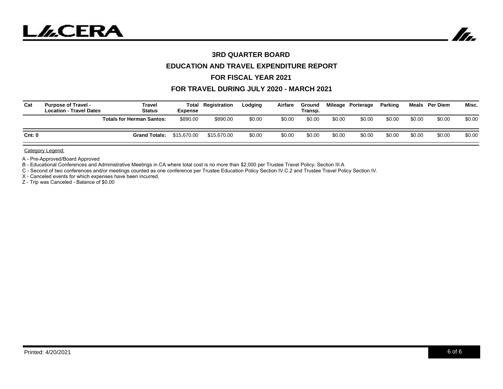

## **EDUCATION AND TRAVEL EXPENDITURE REPORT**

#### **FOR FISCAL YEAR 2021**

#### **FOR TRAVEL DURING JULY 2020 - MARCH 2021**

| Cat    | <b>Purpose of Travel -</b><br><b>Location - Travel Dates</b> | <b>Travel</b><br><b>Status</b>   | <b>Expense</b> | <b>Total Registration</b> | Lodging | Airfare | Ground<br>Transp. |        | Mileage Porterage | Parking |        | Meals Per Diem | Misc.  |
|--------|--------------------------------------------------------------|----------------------------------|----------------|---------------------------|---------|---------|-------------------|--------|-------------------|---------|--------|----------------|--------|
|        |                                                              | <b>Totals for Herman Santos:</b> | \$890.00       | \$890.00                  | \$0.00  | \$0.00  | \$0.00            | \$0.00 | \$0.00            | \$0.00  | \$0.00 | \$0.00         | \$0.00 |
| Cnt: 0 |                                                              | <b>Grand Totals:</b>             | \$15,670.00    | \$15,670.00               | \$0.00  | \$0.00  | \$0.00            | \$0.00 | \$0.00            | \$0.00  | \$0.00 | \$0.00         | \$0.00 |

Category Legend:

A - Pre-Approved/Board Approved

B - Educational Conferences and Administrative Meetings in CA where total cost is no more than \$2,000 per Trustee Travel Policy; Section III.A

C - Second of two conferences and/or meetings counted as one conference per Trustee Education Policy Section IV.C.2 and Trustee Travel Policy Section IV.

X - Canceled events for which expenses have been incurred.

Z - Trip was Canceled - Balance of \$0.00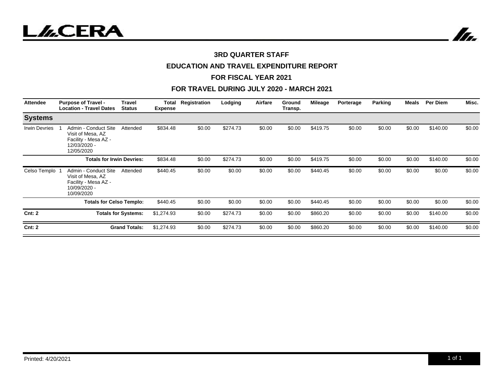



#### **3RD QUARTER STAFF**

## **EDUCATION AND TRAVEL EXPENDITURE REPORT**

#### **FOR FISCAL YEAR 2021**

| Attendee             | <b>Purpose of Travel -</b><br><b>Location - Travel Dates</b>                                    | <b>Travel</b><br><b>Status</b> | Total<br><b>Expense</b> | Registration | Lodging  | Airfare | Ground<br>Transp. | Mileage  | Porterage | <b>Parking</b> | Meals  | <b>Per Diem</b> | Misc.  |
|----------------------|-------------------------------------------------------------------------------------------------|--------------------------------|-------------------------|--------------|----------|---------|-------------------|----------|-----------|----------------|--------|-----------------|--------|
| <b>Systems</b>       |                                                                                                 |                                |                         |              |          |         |                   |          |           |                |        |                 |        |
| <b>Irwin Devries</b> | Admin - Conduct Site<br>Visit of Mesa, AZ<br>Facility - Mesa AZ -<br>12/03/2020 -<br>12/05/2020 | Attended                       | \$834.48                | \$0.00       | \$274.73 | \$0.00  | \$0.00            | \$419.75 | \$0.00    | \$0.00         | \$0.00 | \$140.00        | \$0.00 |
|                      | <b>Totals for Irwin Devries:</b>                                                                |                                | \$834.48                | \$0.00       | \$274.73 | \$0.00  | \$0.00            | \$419.75 | \$0.00    | \$0.00         | \$0.00 | \$140.00        | \$0.00 |
| Celso Templo         | Admin - Conduct Site<br>Visit of Mesa, AZ<br>Facility - Mesa AZ -<br>10/09/2020 -<br>10/09/2020 | Attended                       | \$440.45                | \$0.00       | \$0.00   | \$0.00  | \$0.00            | \$440.45 | \$0.00    | \$0.00         | \$0.00 | \$0.00          | \$0.00 |
|                      | <b>Totals for Celso Templo:</b>                                                                 |                                | \$440.45                | \$0.00       | \$0.00   | \$0.00  | \$0.00            | \$440.45 | \$0.00    | \$0.00         | \$0.00 | \$0.00          | \$0.00 |
| Cnt: 2               | <b>Totals for Systems:</b>                                                                      |                                | \$1,274.93              | \$0.00       | \$274.73 | \$0.00  | \$0.00            | \$860.20 | \$0.00    | \$0.00         | \$0.00 | \$140.00        | \$0.00 |
| Cnt: 2               |                                                                                                 | <b>Grand Totals:</b>           | \$1,274.93              | \$0.00       | \$274.73 | \$0.00  | \$0.00            | \$860.20 | \$0.00    | \$0.00         | \$0.00 | \$140.00        | \$0.00 |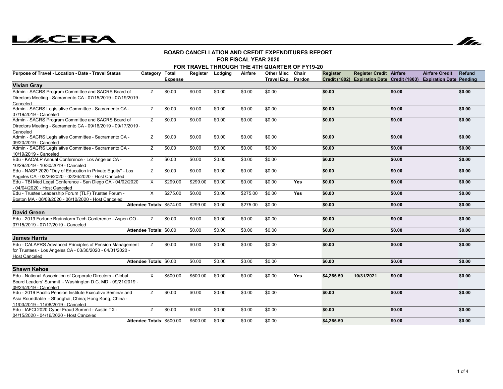# **LLCERA**



#### **FOR FISCAL YEAR 2020BOARD CANCELLATION AND CREDIT EXPENDITURES REPORT**

| FOR TRAVEL THROUGH THE 4TH QUARTER OF FY19-20 |  |
|-----------------------------------------------|--|
|-----------------------------------------------|--|

| Purpose of Travel - Location - Date - Travel Status           | Category Total            | <b>Expense</b> | Register Lodging |        | Airfare  | <b>Other Misc</b><br><b>Travel Exp. Pardon</b> | Chair | <b>Register</b> | <b>Register Credit Airfare</b><br>Credit (1802) Expiration Date Credit (1803) Expiration Date Pending |        | <b>Airfare Credit</b> | <b>Refund</b> |
|---------------------------------------------------------------|---------------------------|----------------|------------------|--------|----------|------------------------------------------------|-------|-----------------|-------------------------------------------------------------------------------------------------------|--------|-----------------------|---------------|
| <b>Vivian Gray</b>                                            |                           |                |                  |        |          |                                                |       |                 |                                                                                                       |        |                       |               |
| Admin - SACRS Program Committee and SACRS Board of            | Z                         | \$0.00         | \$0.00           | \$0.00 | \$0.00   | \$0.00                                         |       | \$0.00          |                                                                                                       | \$0.00 |                       | \$0.00        |
| Directors Meeting - Sacramento CA - 07/15/2019 - 07/19/2019 - |                           |                |                  |        |          |                                                |       |                 |                                                                                                       |        |                       |               |
| Canceled                                                      |                           |                |                  |        |          |                                                |       |                 |                                                                                                       |        |                       |               |
| Admin - SACRS Legislative Committee - Sacramento CA -         | Z                         | \$0.00         | \$0.00           | \$0.00 | \$0.00   | \$0.00                                         |       | \$0.00          |                                                                                                       | \$0.00 |                       | \$0.00        |
| 07/19/2019 - Canceled                                         |                           |                |                  |        |          |                                                |       |                 |                                                                                                       |        |                       |               |
| Admin - SACRS Program Committee and SACRS Board of            | Z                         | \$0.00         | \$0.00           | \$0.00 | \$0.00   | \$0.00                                         |       | \$0.00          |                                                                                                       | \$0.00 |                       | \$0.00        |
| Directors Meeting - Sacramento CA - 09/16/2019 - 09/17/2019 - |                           |                |                  |        |          |                                                |       |                 |                                                                                                       |        |                       |               |
| Canceled                                                      |                           |                |                  |        |          |                                                |       |                 |                                                                                                       |        |                       |               |
| Admin - SACRS Legislative Committee - Sacramento CA -         | Z                         | \$0.00         | \$0.00           | \$0.00 | \$0.00   | \$0.00                                         |       | \$0.00          |                                                                                                       | \$0.00 |                       | \$0.00        |
| 09/20/2019 - Canceled                                         |                           |                |                  |        |          |                                                |       |                 |                                                                                                       |        |                       |               |
| Admin - SACRS Legislative Committee - Sacramento CA -         | Z                         | \$0.00         | \$0.00           | \$0.00 | \$0.00   | \$0.00                                         |       | \$0.00          |                                                                                                       | \$0.00 |                       | \$0.00        |
| 10/19/2019 - Canceled                                         |                           |                |                  |        |          |                                                |       |                 |                                                                                                       |        |                       |               |
| Edu - KACALP Annual Conference - Los Angeles CA -             | Ζ                         | \$0.00         | \$0.00           | \$0.00 | \$0.00   | \$0.00                                         |       | \$0.00          |                                                                                                       | \$0.00 |                       | \$0.00        |
| 10/29/2019 - 10/30/2019 - Canceled                            |                           |                |                  |        |          |                                                |       |                 |                                                                                                       |        |                       |               |
| Edu - NASP 2020 "Day of Education in Private Equity" - Los    | Z                         | \$0.00         | \$0.00           | \$0.00 | \$0.00   | \$0.00                                         |       | \$0.00          |                                                                                                       | \$0.00 |                       | \$0.00        |
| Angeles CA - 03/26/2020 - 03/26/2020 - Host Canceled          |                           |                |                  |        |          |                                                |       |                 |                                                                                                       |        |                       |               |
| Edu - TBI Med Legal Conference - San Diego CA - 04/02/2020    | $\times$                  | \$299.00       | \$299.00         | \$0.00 | \$0.00   | \$0.00                                         | Yes   | \$0.00          |                                                                                                       | \$0.00 |                       | \$0.00        |
| - 04/04/2020 - Host Canceled                                  |                           |                |                  |        |          |                                                |       |                 |                                                                                                       |        |                       |               |
| Edu - Trustee Leadership Forum (TLF) Trustee Forum -          | X                         | \$275.00       | \$0.00           | \$0.00 | \$275.00 | \$0.00                                         | Yes   | \$0.00          |                                                                                                       | \$0.00 |                       | \$0.00        |
| Boston MA - 06/08/2020 - 06/10/2020 - Host Canceled           | Attendee Totals: \$574.00 |                | \$299.00         | \$0.00 |          |                                                |       | \$0.00          |                                                                                                       |        |                       | \$0.00        |
|                                                               |                           |                |                  |        | \$275.00 | \$0.00                                         |       |                 |                                                                                                       | \$0.00 |                       |               |
| <b>David Green</b>                                            |                           |                |                  |        |          |                                                |       |                 |                                                                                                       |        |                       |               |
| Edu - 2019 Fortune Brainstorm Tech Conference - Aspen CO -    | Z                         | \$0.00         | \$0.00           | \$0.00 | \$0.00   | \$0.00                                         |       | \$0.00          |                                                                                                       | \$0.00 |                       | \$0.00        |
| 07/15/2019 - 07/17/2019 - Canceled                            |                           |                |                  |        |          |                                                |       |                 |                                                                                                       |        |                       |               |
|                                                               | Attendee Totals: \$0.00   |                | \$0.00           | \$0.00 | \$0.00   | \$0.00                                         |       | \$0.00          |                                                                                                       | \$0.00 |                       | \$0.00        |
| <b>James Harris</b>                                           |                           |                |                  |        |          |                                                |       |                 |                                                                                                       |        |                       |               |
| Edu - CALAPRS Advanced Principles of Pension Management       | Z                         | \$0.00         | \$0.00           | \$0.00 | \$0.00   | \$0.00                                         |       | \$0.00          |                                                                                                       | \$0.00 |                       | \$0.00        |
| for Trustees - Los Angeles CA - 03/30/2020 - 04/01/2020 -     |                           |                |                  |        |          |                                                |       |                 |                                                                                                       |        |                       |               |
| <b>Host Canceled</b>                                          |                           |                |                  |        |          |                                                |       |                 |                                                                                                       |        |                       |               |
|                                                               | Attendee Totals: \$0.00   |                | \$0.00           | \$0.00 | \$0.00   | \$0.00                                         |       | \$0.00          |                                                                                                       | \$0.00 |                       | \$0.00        |
| <b>Shawn Kehoe</b>                                            |                           |                |                  |        |          |                                                |       |                 |                                                                                                       |        |                       |               |
| Edu - National Association of Corporate Directors - Global    | $\times$                  | \$500.00       | \$500.00         | \$0.00 | \$0.00   | \$0.00                                         | Yes   | \$4,265.50      | 10/31/2021                                                                                            | \$0.00 |                       | \$0.00        |
| Board Leaders' Summit - Washington D.C. MD - 09/21/2019 -     |                           |                |                  |        |          |                                                |       |                 |                                                                                                       |        |                       |               |
| 09/24/2019 - Canceled                                         |                           |                |                  |        |          |                                                |       |                 |                                                                                                       |        |                       |               |
| Edu - 2019 Pacific Pension Institute Executive Seminar and    | Z                         | \$0.00         | \$0.00           | \$0.00 | \$0.00   | \$0.00                                         |       | \$0.00          |                                                                                                       | \$0.00 |                       | \$0.00        |
| Asia Roundtable - Shanghai, China; Hong Kong, China -         |                           |                |                  |        |          |                                                |       |                 |                                                                                                       |        |                       |               |
| 11/03/2019 - 11/08/2019 - Canceled                            |                           |                |                  |        |          |                                                |       |                 |                                                                                                       |        |                       |               |
| Edu - IAFCI 2020 Cyber Fraud Summit - Austin TX -             | Z                         | \$0.00         | \$0.00           | \$0.00 | \$0.00   | \$0.00                                         |       | \$0.00          |                                                                                                       | \$0.00 |                       | \$0.00        |
| 04/15/2020 - 04/16/2020 - Host Canceled                       |                           |                |                  |        |          |                                                |       |                 |                                                                                                       |        |                       |               |
|                                                               | Attendee Totals: \$500.00 |                | \$500.00         | \$0.00 | \$0.00   | \$0.00                                         |       | \$4,265.50      |                                                                                                       | \$0.00 |                       | \$0.00        |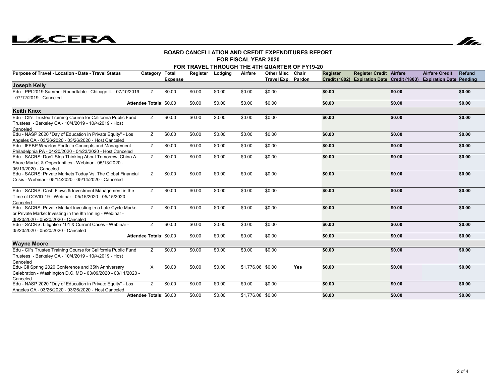# **LACERA**



#### **FOR FISCAL YEAR 2020BOARD CANCELLATION AND CREDIT EXPENDITURES REPORT**

| FOR TRAVEL THROUGH THE 4TH QUARTER OF FY19-20<br><b>Register Credit Airfare</b><br>Category Total<br>Register Lodging<br>Airfare<br><b>Other Misc Chair</b><br><b>Airfare Credit</b><br><b>Refund</b><br><b>Register</b><br>Credit (1802) Expiration Date Credit (1803) Expiration Date Pending<br>Travel Exp. Pardon<br><b>Expense</b><br>\$0.00<br>\$0.00<br>\$0.00<br>\$0.00<br>\$0.00<br>\$0.00<br>\$0.00<br>\$0.00<br>Z<br>\$0.00<br>\$0.00<br>\$0.00<br><b>Attendee Totals: \$0.00</b><br>\$0.00<br>\$0.00<br>\$0.00<br>\$0.00<br>\$0.00<br>\$0.00<br>\$0.00<br>Z<br>\$0.00<br>\$0.00<br>\$0.00<br>\$0.00<br>\$0.00<br>Z<br>\$0.00<br>\$0.00<br>\$0.00<br>\$0.00<br>\$0.00<br>\$0.00<br>\$0.00<br>\$0.00<br>z<br>\$0.00<br>\$0.00<br>\$0.00<br>\$0.00<br>\$0.00<br>\$0.00<br>\$0.00<br>\$0.00<br>Z<br>\$0.00<br>\$0.00<br>\$0.00<br>\$0.00<br>\$0.00<br>\$0.00<br>\$0.00<br>\$0.00<br>Z.<br>\$0.00<br>\$0.00<br>\$0.00<br>\$0.00<br>\$0.00<br>\$0.00<br>\$0.00<br>\$0.00<br>\$0.00<br>\$0.00<br>\$0.00<br>Z.<br>\$0.00<br>\$0.00<br>\$0.00<br>\$0.00<br>\$0.00<br>Z<br>\$0.00<br>\$0.00<br>\$0.00<br>\$0.00<br>\$0.00<br>\$0.00<br>\$0.00<br>\$0.00 |                                |        |        |        |                   |        |     |        |  |        |  |        |  |
|-----------------------------------------------------------------------------------------------------------------------------------------------------------------------------------------------------------------------------------------------------------------------------------------------------------------------------------------------------------------------------------------------------------------------------------------------------------------------------------------------------------------------------------------------------------------------------------------------------------------------------------------------------------------------------------------------------------------------------------------------------------------------------------------------------------------------------------------------------------------------------------------------------------------------------------------------------------------------------------------------------------------------------------------------------------------------------------------------------------------------------------------------------------|--------------------------------|--------|--------|--------|-------------------|--------|-----|--------|--|--------|--|--------|--|
| Purpose of Travel - Location - Date - Travel Status                                                                                                                                                                                                                                                                                                                                                                                                                                                                                                                                                                                                                                                                                                                                                                                                                                                                                                                                                                                                                                                                                                       |                                |        |        |        |                   |        |     |        |  |        |  |        |  |
| Joseph Kelly                                                                                                                                                                                                                                                                                                                                                                                                                                                                                                                                                                                                                                                                                                                                                                                                                                                                                                                                                                                                                                                                                                                                              |                                |        |        |        |                   |        |     |        |  |        |  |        |  |
| Edu - PPI 2019 Summer Roundtable - Chicago IL - 07/10/2019                                                                                                                                                                                                                                                                                                                                                                                                                                                                                                                                                                                                                                                                                                                                                                                                                                                                                                                                                                                                                                                                                                |                                |        |        |        |                   |        |     |        |  |        |  |        |  |
| - 07/12/2019 - Canceled                                                                                                                                                                                                                                                                                                                                                                                                                                                                                                                                                                                                                                                                                                                                                                                                                                                                                                                                                                                                                                                                                                                                   |                                |        |        |        |                   |        |     |        |  |        |  |        |  |
|                                                                                                                                                                                                                                                                                                                                                                                                                                                                                                                                                                                                                                                                                                                                                                                                                                                                                                                                                                                                                                                                                                                                                           |                                |        |        |        |                   |        |     |        |  |        |  |        |  |
| <b>Keith Knox</b>                                                                                                                                                                                                                                                                                                                                                                                                                                                                                                                                                                                                                                                                                                                                                                                                                                                                                                                                                                                                                                                                                                                                         |                                |        |        |        |                   |        |     |        |  |        |  |        |  |
| Edu - CII's Trustee Training Course for California Public Fund<br>Trustees - Berkeley CA - 10/4/2019 - 10/4/2019 - Host<br>Canceled                                                                                                                                                                                                                                                                                                                                                                                                                                                                                                                                                                                                                                                                                                                                                                                                                                                                                                                                                                                                                       |                                |        |        |        |                   |        |     |        |  |        |  |        |  |
| Edu - NASP 2020 "Day of Education in Private Equity" - Los<br>Angeles CA - 03/26/2020 - 03/26/2020 - Host Canceled                                                                                                                                                                                                                                                                                                                                                                                                                                                                                                                                                                                                                                                                                                                                                                                                                                                                                                                                                                                                                                        |                                |        |        |        |                   |        |     |        |  |        |  |        |  |
| Edu - IFEBP Wharton Portfolio Concepts and Management -<br>Philadelphia PA - 04/20/2020 - 04/23/2020 - Host Canceled                                                                                                                                                                                                                                                                                                                                                                                                                                                                                                                                                                                                                                                                                                                                                                                                                                                                                                                                                                                                                                      |                                |        |        |        |                   |        |     |        |  |        |  |        |  |
| Edu - SACRS: Don't Stop Thinking About Tomorrow; China A-<br>Share Market & Opportunities - Webinar - 05/13/2020 -<br>05/13/2020 - Canceled                                                                                                                                                                                                                                                                                                                                                                                                                                                                                                                                                                                                                                                                                                                                                                                                                                                                                                                                                                                                               |                                |        |        |        |                   |        |     |        |  |        |  |        |  |
| Edu - SACRS: Private Markets Today Vs. The Global Financial<br>Crisis - Webinar - 05/14/2020 - 05/14/2020 - Canceled                                                                                                                                                                                                                                                                                                                                                                                                                                                                                                                                                                                                                                                                                                                                                                                                                                                                                                                                                                                                                                      |                                |        |        |        |                   |        |     |        |  |        |  |        |  |
| Edu - SACRS: Cash Flows & Investment Management in the<br>Time of COVID-19 - Webinar - 05/15/2020 - 05/15/2020 -<br>Canceled                                                                                                                                                                                                                                                                                                                                                                                                                                                                                                                                                                                                                                                                                                                                                                                                                                                                                                                                                                                                                              |                                |        |        |        |                   |        |     |        |  |        |  |        |  |
| Edu - SACRS: Private Market Investing in a Late-Cycle Market<br>or Private Market Investing in the 8th Inning - Webinar -<br>05/20/2020 - 05/20/2020 - Canceled                                                                                                                                                                                                                                                                                                                                                                                                                                                                                                                                                                                                                                                                                                                                                                                                                                                                                                                                                                                           |                                |        |        |        |                   |        |     |        |  |        |  |        |  |
| Edu - SACRS: Litigation 101 & Current Cases - Webinar -<br>05/20/2020 - 05/20/2020 - Canceled                                                                                                                                                                                                                                                                                                                                                                                                                                                                                                                                                                                                                                                                                                                                                                                                                                                                                                                                                                                                                                                             | Z                              | \$0.00 | \$0.00 | \$0.00 | \$0.00            | \$0.00 |     | \$0.00 |  | \$0.00 |  | \$0.00 |  |
|                                                                                                                                                                                                                                                                                                                                                                                                                                                                                                                                                                                                                                                                                                                                                                                                                                                                                                                                                                                                                                                                                                                                                           | Attendee Totals: \$0.00        |        | \$0.00 | \$0.00 | \$0.00            | \$0.00 |     | \$0.00 |  | \$0.00 |  | \$0.00 |  |
| <b>Wayne Moore</b>                                                                                                                                                                                                                                                                                                                                                                                                                                                                                                                                                                                                                                                                                                                                                                                                                                                                                                                                                                                                                                                                                                                                        |                                |        |        |        |                   |        |     |        |  |        |  |        |  |
| Edu - Cll's Trustee Training Course for California Public Fund<br>Trustees - Berkeley CA - 10/4/2019 - 10/4/2019 - Host<br>Canceled                                                                                                                                                                                                                                                                                                                                                                                                                                                                                                                                                                                                                                                                                                                                                                                                                                                                                                                                                                                                                       | Z                              | \$0.00 | \$0.00 | \$0.00 | \$0.00            | \$0.00 |     | \$0.00 |  | \$0.00 |  | \$0.00 |  |
| Edu- CII Spring 2020 Conference and 35th Anniversary<br>Celebration - Washington D.C. MD - 03/09/2020 - 03/11/2020 -<br>Canceled                                                                                                                                                                                                                                                                                                                                                                                                                                                                                                                                                                                                                                                                                                                                                                                                                                                                                                                                                                                                                          | X                              | \$0.00 | \$0.00 | \$0.00 | \$1,776.08 \$0.00 |        | Yes | \$0.00 |  | \$0.00 |  | \$0.00 |  |
| Edu - NASP 2020 "Day of Education in Private Equity" - Los<br>Angeles CA - 03/26/2020 - 03/26/2020 - Host Canceled                                                                                                                                                                                                                                                                                                                                                                                                                                                                                                                                                                                                                                                                                                                                                                                                                                                                                                                                                                                                                                        | Z.                             | \$0.00 | \$0.00 | \$0.00 | \$0.00            | \$0.00 |     | \$0.00 |  | \$0.00 |  | \$0.00 |  |
|                                                                                                                                                                                                                                                                                                                                                                                                                                                                                                                                                                                                                                                                                                                                                                                                                                                                                                                                                                                                                                                                                                                                                           | <b>Attendee Totals: \$0.00</b> |        | \$0.00 | \$0.00 | \$1,776.08 \$0.00 |        |     | \$0.00 |  | \$0.00 |  | \$0.00 |  |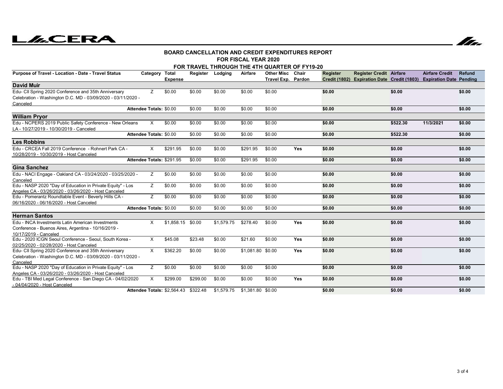# **LILCERA**



 $\overline{\phantom{a}}$ 

#### **FOR FISCAL YEAR 2020BOARD CANCELLATION AND CREDIT EXPENDITURES REPORT**

| <b>I UN I IUUML I LAN 4040</b><br>FOR TRAVEL THROUGH THE 4TH QUARTER OF FY19-20 |                         |                                      |                  |            |                   |                    |            |          |                                                                     |          |                       |        |  |
|---------------------------------------------------------------------------------|-------------------------|--------------------------------------|------------------|------------|-------------------|--------------------|------------|----------|---------------------------------------------------------------------|----------|-----------------------|--------|--|
|                                                                                 |                         |                                      |                  |            |                   |                    |            |          |                                                                     |          |                       |        |  |
| Purpose of Travel - Location - Date - Travel Status                             | Category Total          |                                      | Register Lodging |            | Airfare           | <b>Other Misc</b>  | Chair      | Register | <b>Register Credit Airfare</b>                                      |          | <b>Airfare Credit</b> | Refund |  |
| <b>David Muir</b>                                                               |                         | <b>Expense</b>                       |                  |            |                   | Travel Exp. Pardon |            |          | Credit (1802) Expiration Date Credit (1803) Expiration Date Pending |          |                       |        |  |
|                                                                                 |                         |                                      |                  |            |                   |                    |            |          |                                                                     |          |                       |        |  |
| Edu- CII Spring 2020 Conference and 35th Anniversary                            | Z                       | \$0.00                               | \$0.00           | \$0.00     | \$0.00            | \$0.00             |            | \$0.00   |                                                                     | \$0.00   |                       | \$0.00 |  |
| Celebration - Washington D.C. MD - 03/09/2020 - 03/11/2020 -                    |                         |                                      |                  |            |                   |                    |            |          |                                                                     |          |                       |        |  |
| Canceled                                                                        |                         |                                      |                  |            |                   |                    |            |          |                                                                     |          |                       |        |  |
|                                                                                 | Attendee Totals: \$0.00 |                                      | \$0.00           | \$0.00     | \$0.00            | \$0.00             |            | \$0.00   |                                                                     | \$0.00   |                       | \$0.00 |  |
| <b>William Pryor</b>                                                            |                         |                                      |                  |            |                   |                    |            |          |                                                                     |          |                       |        |  |
| Edu - NCPERS 2019 Public Safety Conference - New Orleans                        | X                       | \$0.00                               | \$0.00           | \$0.00     | \$0.00            | \$0.00             |            | \$0.00   |                                                                     | \$522.30 | 11/3/2021             | \$0.00 |  |
| LA - 10/27/2019 - 10/30/2019 - Canceled                                         |                         |                                      |                  |            |                   |                    |            |          |                                                                     |          |                       |        |  |
|                                                                                 | Attendee Totals: \$0.00 |                                      | \$0.00           | \$0.00     | \$0.00            | \$0.00             |            | \$0.00   |                                                                     | \$522.30 |                       | \$0.00 |  |
| <b>Les Robbins</b>                                                              |                         |                                      |                  |            |                   |                    |            |          |                                                                     |          |                       |        |  |
| Edu - CRCEA Fall 2019 Conference - Rohnert Park CA -                            | X                       | \$291.95                             | \$0.00           | \$0.00     | \$291.95          | \$0.00             | Yes        | \$0.00   |                                                                     | \$0.00   |                       | \$0.00 |  |
| 10/28/2019 - 10/30/2019 - Host Canceled                                         |                         |                                      |                  |            |                   |                    |            |          |                                                                     |          |                       |        |  |
|                                                                                 |                         | Attendee Totals: \$291.95            | \$0.00           | \$0.00     | \$291.95          | \$0.00             |            | \$0.00   |                                                                     | \$0.00   |                       | \$0.00 |  |
| <b>Gina Sanchez</b>                                                             |                         |                                      |                  |            |                   |                    |            |          |                                                                     |          |                       |        |  |
| Edu - NACI Engage - Oakland CA - 03/24/2020 - 03/25/2020 -                      | Z                       | \$0.00                               | \$0.00           | \$0.00     | \$0.00            | \$0.00             |            | \$0.00   |                                                                     | \$0.00   |                       | \$0.00 |  |
| Canceled                                                                        |                         |                                      |                  |            |                   |                    |            |          |                                                                     |          |                       |        |  |
| Edu - NASP 2020 "Day of Education in Private Equity" - Los                      | Z                       | \$0.00                               | \$0.00           | \$0.00     | \$0.00            | \$0.00             |            | \$0.00   |                                                                     | \$0.00   |                       | \$0.00 |  |
| Angeles CA - 03/26/2020 - 03/26/2020 - Host Canceled                            |                         |                                      |                  |            |                   |                    |            |          |                                                                     |          |                       |        |  |
| Edu - Pomerantz Roundtable Event - Beverly Hills CA -                           | Z                       | \$0.00                               | \$0.00           | \$0.00     | \$0.00            | \$0.00             |            | \$0.00   |                                                                     | \$0.00   |                       | \$0.00 |  |
| 06/16/2020 - 06/16/2020 - Host Canceled                                         |                         |                                      |                  |            |                   |                    |            |          |                                                                     |          |                       |        |  |
|                                                                                 | Attendee Totals: \$0.00 |                                      | \$0.00           | \$0.00     | \$0.00            | \$0.00             |            | \$0.00   |                                                                     | \$0.00   |                       | \$0.00 |  |
| <b>Herman Santos</b>                                                            |                         |                                      |                  |            |                   |                    |            |          |                                                                     |          |                       |        |  |
| Edu - INCA Investments Latin American Investments                               | $\times$                | \$1.858.15                           | \$0.00           | \$1.579.75 | \$278.40          | \$0.00             | Yes        | \$0.00   |                                                                     | \$0.00   |                       | \$0.00 |  |
| Conference - Buenos Aires, Argentina - 10/16/2019 -                             |                         |                                      |                  |            |                   |                    |            |          |                                                                     |          |                       |        |  |
| 10/17/2019 - Canceled                                                           |                         |                                      |                  |            |                   |                    |            |          |                                                                     |          |                       |        |  |
| Edu - 2020 ICGN Seoul Conference - Seoul, South Korea -                         | X.                      | \$45.08                              | \$23.48          | \$0.00     | \$21.60           | \$0.00             | <b>Yes</b> | \$0.00   |                                                                     | \$0.00   |                       | \$0.00 |  |
| 02/25/2020 - 02/28/2020 - Host Canceled                                         |                         |                                      |                  |            |                   |                    |            |          |                                                                     |          |                       |        |  |
| Edu- CII Spring 2020 Conference and 35th Anniversary                            | X.                      | \$362.20                             | \$0.00           | \$0.00     | \$1,081.80 \$0.00 |                    | <b>Yes</b> | \$0.00   |                                                                     | \$0.00   |                       | \$0.00 |  |
| Celebration - Washington D.C. MD - 03/09/2020 - 03/11/2020 -                    |                         |                                      |                  |            |                   |                    |            |          |                                                                     |          |                       |        |  |
| Canceled                                                                        |                         |                                      |                  |            |                   |                    |            |          |                                                                     |          |                       |        |  |
| Edu - NASP 2020 "Day of Education in Private Equity" - Los                      | Z.                      | \$0.00                               | \$0.00           | \$0.00     | \$0.00            | \$0.00             |            | \$0.00   |                                                                     | \$0.00   |                       | \$0.00 |  |
| Angeles CA - 03/26/2020 - 03/26/2020 - Host Canceled                            |                         |                                      |                  |            |                   |                    |            |          |                                                                     |          |                       |        |  |
| Edu - TBI Med Legal Conference - San Diego CA - 04/02/2020                      | X.                      | \$299.00                             | \$299.00         | \$0.00     | \$0.00            | \$0.00             | Yes        | \$0.00   |                                                                     | \$0.00   |                       | \$0.00 |  |
| - 04/04/2020 - Host Canceled                                                    |                         |                                      |                  |            |                   |                    |            |          |                                                                     |          |                       |        |  |
|                                                                                 |                         | Attendee Totals: \$2,564.43 \$322.48 |                  | \$1,579.75 | \$1,381.80 \$0.00 |                    |            | \$0.00   |                                                                     | \$0.00   |                       | \$0.00 |  |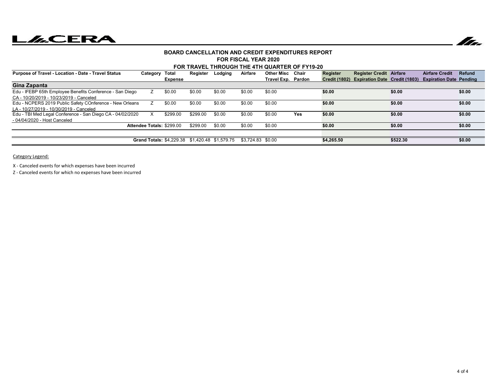# **LACERA**



#### **FOR FISCAL YEAR 2020BOARD CANCELLATION AND CREDIT EXPENDITURES REPORT**

#### **FOR TRAVEL THROUGH THE 4TH QUARTER OF FY19-20**

| <b>Purpose of Travel - Location - Date - Travel Status</b> | Category                  | Total                                          | Register | Lodging | Airfare            | Other Misc         | Chair      | Register   | <b>Register Credit Airfare</b>              |          | <b>Airfare Credit</b>          | <b>Refund</b> |
|------------------------------------------------------------|---------------------------|------------------------------------------------|----------|---------|--------------------|--------------------|------------|------------|---------------------------------------------|----------|--------------------------------|---------------|
|                                                            |                           | <b>Expense</b>                                 |          |         |                    | Travel Exp. Pardon |            |            | Credit (1802) Expiration Date Credit (1803) |          | <b>Expiration Date Pending</b> |               |
| Gina Zapanta                                               |                           |                                                |          |         |                    |                    |            |            |                                             |          |                                |               |
| Edu - IFEBP 65th Employee Benefits Conference - San Diego  |                           | \$0.00                                         | \$0.00   | \$0.00  | \$0.00             | \$0.00             |            | \$0.00     |                                             | \$0.00   |                                | \$0.00        |
| CA - 10/20/2019 - 10/23/2019 - Canceled                    |                           |                                                |          |         |                    |                    |            |            |                                             |          |                                |               |
| Edu - NCPERS 2019 Public Safety COnference - New Orleans   |                           | \$0.00                                         | \$0.00   | \$0.00  | \$0.00             | \$0.00             |            | \$0.00     |                                             | \$0.00   |                                | \$0.00        |
| LA - 10/27/2019 - 10/30/2019 - Canceled                    |                           |                                                |          |         |                    |                    |            |            |                                             |          |                                |               |
| Edu - TBI Med Legal Conference - San Diego CA - 04/02/2020 | X                         | \$299.00                                       | \$299.00 | \$0.00  | \$0.00             | \$0.00             | <b>Yes</b> | \$0.00     |                                             | \$0.00   |                                | \$0.00        |
| - 04/04/2020 - Host Canceled                               |                           |                                                |          |         |                    |                    |            |            |                                             |          |                                |               |
|                                                            | Attendee Totals: \$299.00 |                                                | \$299.00 | \$0.00  | \$0.00             | \$0.00             |            | \$0.00     |                                             | \$0.00   |                                | \$0.00        |
|                                                            |                           |                                                |          |         |                    |                    |            |            |                                             |          |                                |               |
|                                                            |                           | Grand Totals: \$4.229.38 \$1.420.48 \$1.579.75 |          |         | $$3.724.83$ \$0.00 |                    |            | \$4.265.50 |                                             | \$522.30 |                                | \$0.00        |

Category Legend:

X - Canceled events for which expenses have been incurred

Z - Canceled events for which no expenses have been incurred